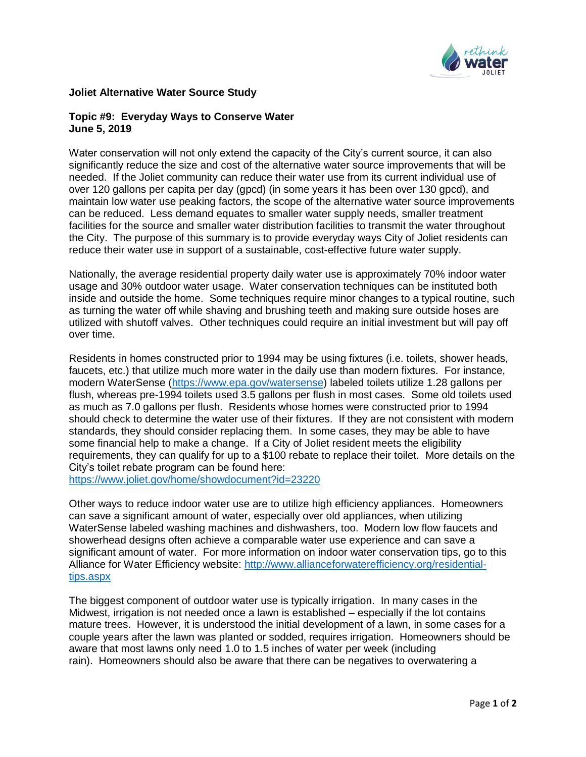

## **Joliet Alternative Water Source Study**

## **Topic #9: Everyday Ways to Conserve Water June 5, 2019**

Water conservation will not only extend the capacity of the City's current source, it can also significantly reduce the size and cost of the alternative water source improvements that will be needed. If the Joliet community can reduce their water use from its current individual use of over 120 gallons per capita per day (gpcd) (in some years it has been over 130 gpcd), and maintain low water use peaking factors, the scope of the alternative water source improvements can be reduced. Less demand equates to smaller water supply needs, smaller treatment facilities for the source and smaller water distribution facilities to transmit the water throughout the City. The purpose of this summary is to provide everyday ways City of Joliet residents can reduce their water use in support of a sustainable, cost-effective future water supply.

Nationally, the average residential property daily water use is approximately 70% indoor water usage and 30% outdoor water usage. Water conservation techniques can be instituted both inside and outside the home. Some techniques require minor changes to a typical routine, such as turning the water off while shaving and brushing teeth and making sure outside hoses are utilized with shutoff valves. Other techniques could require an initial investment but will pay off over time.

Residents in homes constructed prior to 1994 may be using fixtures (i.e. toilets, shower heads, faucets, etc.) that utilize much more water in the daily use than modern fixtures. For instance, modern WaterSense [\(https://www.epa.gov/watersense\)](https://url3.mailanyone.net/v1/?m=1hYfR8-0000D5-3o&i=57e1b682&c=EEh79PMHMN4Qh2BYXY3_F530SPZau2FcmDpPPqpwGJ-AqwsxPCJBARR2tOjhFaocbvhignRs0X7J9b6GZJTIJZl7cVtTWbn1waX6VJVPj0VeK4QKPcB7nnkGvq7u1UOS-0vZqpaVho8-Dm8Vyxh7KvdrY0d3-h5S-VpeliAO6oU8SMtppIiG0ac7sX-nSe4H3nluoOFrWGms0h5I2RZekRU_HBmmAGnMWwKAAXX5oU4) labeled toilets utilize 1.28 gallons per flush, whereas pre-1994 toilets used 3.5 gallons per flush in most cases. Some old toilets used as much as 7.0 gallons per flush. Residents whose homes were constructed prior to 1994 should check to determine the water use of their fixtures. If they are not consistent with modern standards, they should consider replacing them. In some cases, they may be able to have some financial help to make a change. If a City of Joliet resident meets the eligibility requirements, they can qualify for up to a \$100 rebate to replace their toilet. More details on the City's toilet rebate program can be found here:

[https://www.joliet.gov/home/showdocument?id=23220](https://url3.mailanyone.net/v1/?m=1hYfR8-0000D5-3o&i=57e1b682&c=vbzAUUPARGl8QP5MYu82zQbQbmG-b8JeOgShKWOGDdIMKUDe4BnhObpyQuEsmaMEsC7vUA2Jq0JgQ0LZy3U0EX_pFeVJCebnGjz0BaVqMER0eD24_G49oIEn3TjRWj6Ge5BFyXSsL8kPBasxqp-xW1mcbpDqOZnDCsDDk-VpKHgIjTugHcxZLTIqNmR5p_BfHDHeiuuxaXIcV_oyxz7JTY2375WiA7oAeq9wcYkekWAs67H-fkBMKBbQmcNCpCCf)

Other ways to reduce indoor water use are to utilize high efficiency appliances. Homeowners can save a significant amount of water, especially over old appliances, when utilizing WaterSense labeled washing machines and dishwashers, too. Modern low flow faucets and showerhead designs often achieve a comparable water use experience and can save a significant amount of water. For more information on indoor water conservation tips, go to this Alliance for Water Efficiency website: [http://www.allianceforwaterefficiency.org/residential](https://url3.mailanyone.net/v1/?m=1hYfR8-0000D5-3o&i=57e1b682&c=4agh6dJe0I7kFfFkr3wShE1-l5OZxkWqIT58gMg2KeyxEqV00ob-hRaVaVZPZUrE6oGnl4R-ioHLFKuOx06rQSncsl4VxhV2FNHlS-r4ILYa33ztZn4Pc-ACQp5S6Jv6FkC-J5EQwAGwutbMTIlLTaBJZ008ObwHQWZ5KWnvnqFUq7rBUKh7t1JnmKP6-nYkQJw1BMQASuV02rski0pQOn6zs6-nWgNCTH1dTewuNccmHyi3yaafBgODOX9ypDWBlG1qPAIJ1h6vMfAK0livFQ)[tips.aspx](https://url3.mailanyone.net/v1/?m=1hYfR8-0000D5-3o&i=57e1b682&c=4agh6dJe0I7kFfFkr3wShE1-l5OZxkWqIT58gMg2KeyxEqV00ob-hRaVaVZPZUrE6oGnl4R-ioHLFKuOx06rQSncsl4VxhV2FNHlS-r4ILYa33ztZn4Pc-ACQp5S6Jv6FkC-J5EQwAGwutbMTIlLTaBJZ008ObwHQWZ5KWnvnqFUq7rBUKh7t1JnmKP6-nYkQJw1BMQASuV02rski0pQOn6zs6-nWgNCTH1dTewuNccmHyi3yaafBgODOX9ypDWBlG1qPAIJ1h6vMfAK0livFQ)

The biggest component of outdoor water use is typically irrigation. In many cases in the Midwest, irrigation is not needed once a lawn is established – especially if the lot contains mature trees. However, it is understood the initial development of a lawn, in some cases for a couple years after the lawn was planted or sodded, requires irrigation. Homeowners should be aware that most lawns only need 1.0 to 1.5 inches of water per week (including rain). Homeowners should also be aware that there can be negatives to overwatering a